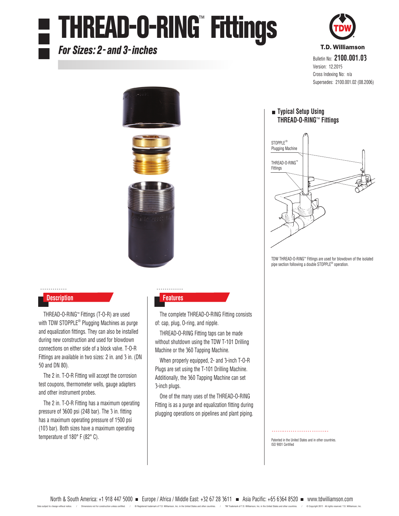# THREAD-O-RING™ Fittings

### For Sizes: 2- and 3-inches



#### . . . . . . . . . . . . . **Description Features**

THREAD-O-RING™ Fittings (T-O-R) are used with TDW STOPPLE® Plugging Machines as purge and equalization fittings. They can also be installed during new construction and used for blowdown connections on either side of a block valve. T-O-R Fittings are available in two sizes: 2 in. and 3 in. (DN 50 and DN 80).

The 2 in. T-O-R Fitting will accept the corrosion test coupons, thermometer wells, gauge adapters and other instrument probes.

The 2 in. T-O-R Fitting has a maximum operating pressure of 3600 psi (248 bar). The 3 in. fitting has a maximum operating pressure of 1500 psi (103 bar). Both sizes have a maximum operating temperature of 180° F (82° C).

. . . . . . . . . . .

The complete THREAD-O-RING Fitting consists of: cap, plug, O-ring, and nipple.

THREAD-O-RING Fitting taps can be made without shutdown using the TDW T-101 Drilling Machine or the 360 Tapping Machine.

When properly equipped, 2- and 3-inch T-O-R Plugs are set using the T-101 Drilling Machine. Additionally, the 360 Tapping Machine can set 3-inch plugs.

One of the many uses of the THREAD-O-RING Fitting is as a purge and equalization fitting during plugging operations on pipelines and plant piping.



Bulletin No: **2100.001.03** Version: 12.2015 Cross Indexing No: n/a Supersedes: 2100.001.02 (08.2006)

### **Typical Setup Using THREAD-O-RING**™ **Fittings**



TDW THREAD-O-RING™ Fittings are used for blowdown of the isolated pipe section following a double STOPPLE<sup>®</sup> operation.

Patented in the United States and in other countries.

ISO 9001 Certified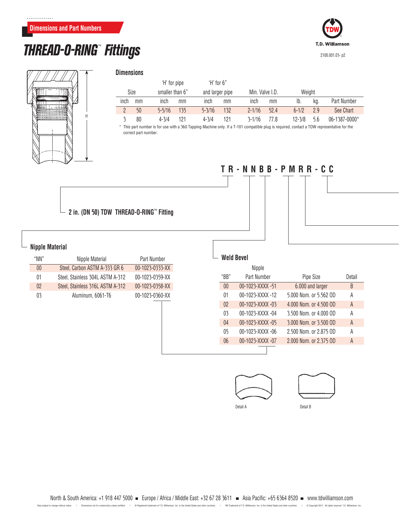### **Dimensions and Part Numbers**

### **THREAD-O-RING™ Fittings 2100.001.03- p2**





| <b>Dimensions</b> |  |
|-------------------|--|
|                   |  |

|      |      | 'H' for pipe    |     | $H$ for $6"$    |     |                 |      |            |     |               |
|------|------|-----------------|-----|-----------------|-----|-----------------|------|------------|-----|---------------|
|      | Size | smaller than 6" |     | and larger pipe |     | Min. Valve I.D. |      | Weight     |     |               |
| inch | mm   | inch            | mm  | inch            | mm  | inch            | mm   | Ib.        | kg. | Part Number   |
|      | 50   | $5 - 5/16$      | 135 | $5 - 3/16$      | 132 | $2 - 1/16$      | 52.4 | $6 - 1/2$  | 29  | See Chart     |
|      | 80   | $4 - 3/4$       | 121 | $4 - 3/4$       | 121 | $3 - 1/16$      | 77 8 | $12 - 3/8$ | 5.6 | 06-1387-0000* |

\* This part number is for use with a 360 Tapping Machine only. If a T-101 compatible plug is required, contact a TDW representative for the correct part number.

**TR-NNBB-PMRR-CC**



### **Nipple Material**

| "NN" | Nipple Material                  | Part Number     |
|------|----------------------------------|-----------------|
| 00   | Steel, Carbon ASTM A-333 GR 6    | 00-1023-0333-XX |
| 01   | Steel, Stainless 304L ASTM A-312 | 00-1023-0359-XX |
| 02   | Steel, Stainless 316L ASTM A-312 | 00-1023-0358-XX |
| 03   | Aluminum, 6061-T6                | 00-1023-0360-XX |
|      |                                  |                 |
|      |                                  |                 |
|      |                                  |                 |
|      |                                  |                 |
|      |                                  |                 |

|                         | $\overline{\phantom{0}}$ |
|-------------------------|--------------------------|
| $\overline{\mathbf{r}}$ |                          |
|                         | í                        |

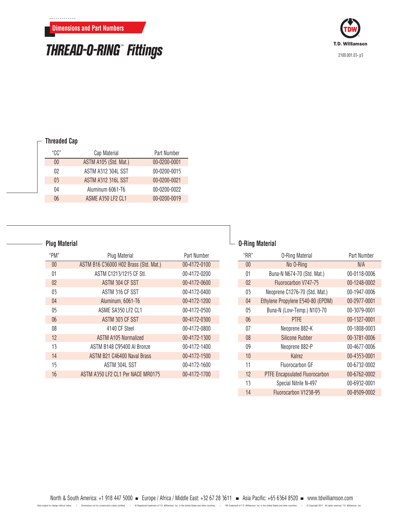## THREAD-O-RING™ Fittings



### **Threaded Cap**

. . . . . . . . . . . . .

| "CC"           | Cap Material              | Part Number  |
|----------------|---------------------------|--------------|
| 00             | ASTM A105 (Std. Mat.)     | 00-0200-0001 |
| 02             | <b>ASTM A312 304L SST</b> | 00-0200-0015 |
| 0 <sup>3</sup> | <b>ASTM A312 316L SST</b> | 00-0200-0021 |
| 04             | Aluminum 6061-T6          | 00-0200-0022 |
| 06             | ASME A350 LF2 CL1         | 00-0200-0019 |

### **Plug Material**

| "PM" | Plug Material                         | Part Number  |
|------|---------------------------------------|--------------|
| 00   | ASTM B16 C36000 H02 Brass (Std. Mat.) | 00-4172-0100 |
| 01   | ASTM C1213/1215 CF Stl.               | 00-4172-0200 |
| 02   | ASTM 304 CF SST                       | 00-4172-0600 |
| 03   | ASTM 316 CF SST                       | 00-4172-0400 |
| 04   | Aluminum, 6061-T6                     | 00-4172-1200 |
| 05   | ASME SA350 LF2 CL1                    | 00-4172-0500 |
| 06   | ASTM 303 CF SST                       | 00-4172-0300 |
| 08   | 4140 CF Steel                         | 00-4172-0800 |
| 12   | <b>ASTM A105 Normalized</b>           | 00-4172-1300 |
| 13   | ASTM B148 C95400 AI Bronze            | 00-4172-1400 |
| 14   | ASTM B21 C46400 Naval Brass           | 00-4172-1500 |
| 15   | ASTM 304L SST                         | 00-4172-1600 |
| 16   | ASTM A350 LF2 CL1 Per NACE MR0175     | 00-4172-1700 |

### **O-Ring Material**

| "RR" | <b>0-Ring Material</b>                | Part Number  |
|------|---------------------------------------|--------------|
| 00   | No O-Ring                             | N/A          |
| 01   | Buna-N N674-70 (Std. Mat.)            | 00-0118-0006 |
| 02   | Fluorocarbon V747-75                  | 00-1248-0002 |
| 03   | Neoprene C1276-70 (Std. Mat.)         | 00-1947-0006 |
| 04   | Ethylene Propylene E540-80 (EPDM)     | 00-2977-0001 |
| 05   | Buna-N (Low-Temp.) N103-70            | 00-3079-0001 |
| 06   | <b>PTFF</b>                           | 00-1327-0001 |
| 07   | Neoprene 882-K                        | 00-1808-0003 |
| 08   | <b>Silicone Rubber</b>                | 00-3781-0006 |
| 09   | Neoprene 882-P                        | 00-4677-0006 |
| 10   | Kalrez                                | 00-4353-0001 |
| 11   | Fluorocarbon GF                       | 00-6732-0002 |
| 12   | <b>PTFE Encapsulated Fluorocarbon</b> | 00-6762-0002 |
| 13   | Special Nitrile N-497                 | 00-6932-0001 |
| 14   | Fluorocarbon V1238-95                 | 00-8509-0002 |